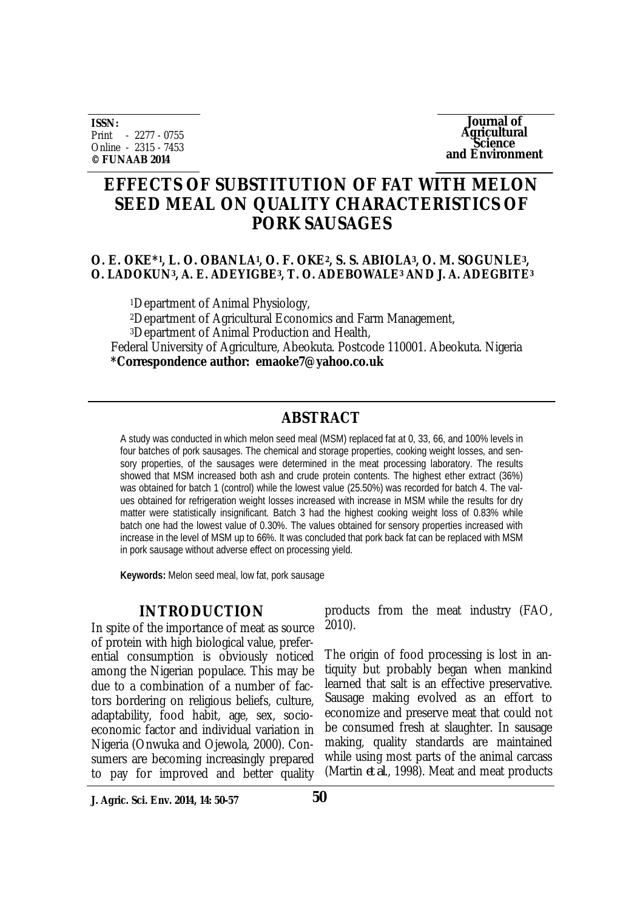**ISSN:** Print - 2277 - 0755 Online - 2315 - 7453 **© FUNAAB 2014**

**Journal of Agricultural Science and Environment**

# **EFFECTS OF SUBSTITUTION OF FAT WITH MELON SEED MEAL ON QUALITY CHARACTERISTICS OF PORK SAUSAGES**

#### **O. E. OKE\*<sup>1</sup> , L. O. OBANLA<sup>1</sup> , O. F. OKE2, S. S. ABIOLA3, O. M. SOGUNLE3, O. LADOKUN3, A. E. ADEYIGBE3, T. O. ADEBOWALE<sup>3</sup> AND J. A. ADEGBITE<sup>3</sup>**

<sup>1</sup>Department of Animal Physiology, <sup>2</sup>Department of Agricultural Economics and Farm Management, <sup>3</sup>Department of Animal Production and Health, Federal University of Agriculture, Abeokuta. Postcode 110001. Abeokuta. Nigeria **\*Correspondence author: emaoke7@yahoo.co.uk** 

## **ABSTRACT**

A study was conducted in which melon seed meal (MSM) replaced fat at 0, 33, 66, and 100% levels in four batches of pork sausages. The chemical and storage properties, cooking weight losses, and sensory properties, of the sausages were determined in the meat processing laboratory. The results showed that MSM increased both ash and crude protein contents. The highest ether extract (36%) was obtained for batch 1 (control) while the lowest value (25.50%) was recorded for batch 4. The values obtained for refrigeration weight losses increased with increase in MSM while the results for dry matter were statistically insignificant. Batch 3 had the highest cooking weight loss of 0.83% while batch one had the lowest value of 0.30%. The values obtained for sensory properties increased with increase in the level of MSM up to 66%. It was concluded that pork back fat can be replaced with MSM in pork sausage without adverse effect on processing yield.

**Keywords:** Melon seed meal, low fat, pork sausage

#### **INTRODUCTION**

In spite of the importance of meat as source of protein with high biological value, preferential consumption is obviously noticed among the Nigerian populace. This may be due to a combination of a number of factors bordering on religious beliefs, culture, adaptability, food habit, age, sex, socioeconomic factor and individual variation in Nigeria (Onwuka and Ojewola, 2000). Consumers are becoming increasingly prepared to pay for improved and better quality

products from the meat industry (FAO, 2010).

The origin of food processing is lost in antiquity but probably began when mankind learned that salt is an effective preservative. Sausage making evolved as an effort to economize and preserve meat that could not be consumed fresh at slaughter. In sausage making, quality standards are maintained while using most parts of the animal carcass (Martin *et al*., 1998). Meat and meat products

**J. Agric. Sci. Env. 2014, 14: 50-57**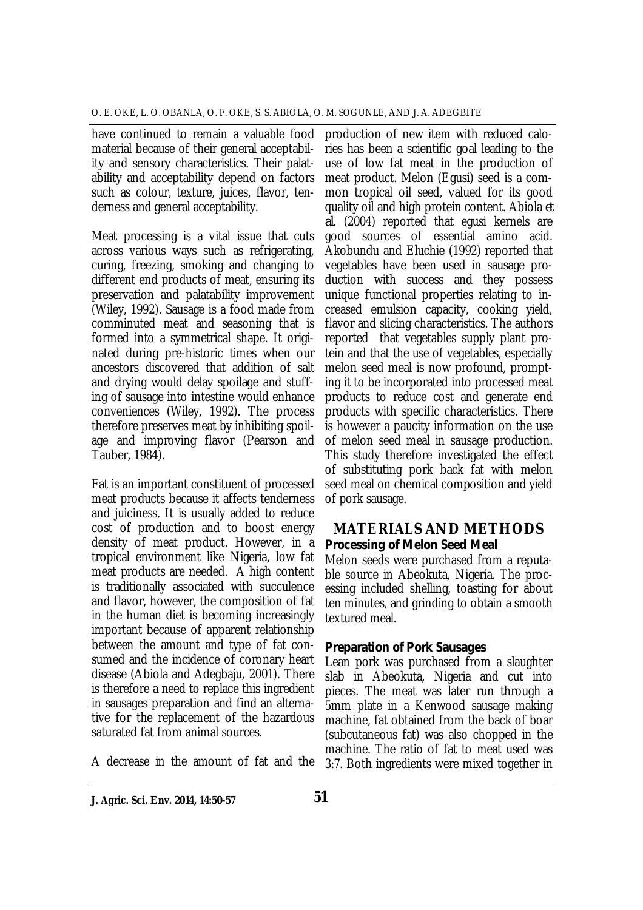have continued to remain a valuable food material because of their general acceptability and sensory characteristics. Their palatability and acceptability depend on factors such as colour, texture, juices, flavor, tenderness and general acceptability.

Meat processing is a vital issue that cuts across various ways such as refrigerating, curing, freezing, smoking and changing to different end products of meat, ensuring its preservation and palatability improvement (Wiley, 1992). Sausage is a food made from comminuted meat and seasoning that is formed into a symmetrical shape. It originated during pre-historic times when our ancestors discovered that addition of salt and drying would delay spoilage and stuffing of sausage into intestine would enhance conveniences (Wiley, 1992). The process therefore preserves meat by inhibiting spoilage and improving flavor (Pearson and Tauber, 1984).

Fat is an important constituent of processed meat products because it affects tenderness and juiciness. It is usually added to reduce cost of production and to boost energy density of meat product. However, in a tropical environment like Nigeria, low fat meat products are needed. A high content is traditionally associated with succulence and flavor, however, the composition of fat in the human diet is becoming increasingly important because of apparent relationship between the amount and type of fat consumed and the incidence of coronary heart disease (Abiola and Adegbaju, 2001). There is therefore a need to replace this ingredient in sausages preparation and find an alternative for the replacement of the hazardous saturated fat from animal sources.

A decrease in the amount of fat and the

production of new item with reduced calories has been a scientific goal leading to the use of low fat meat in the production of meat product. Melon (Egusi) seed is a common tropical oil seed, valued for its good quality oil and high protein content. Abiola *et al*. (2004) reported that egusi kernels are good sources of essential amino acid. Akobundu and Eluchie (1992) reported that vegetables have been used in sausage production with success and they possess unique functional properties relating to increased emulsion capacity, cooking yield, flavor and slicing characteristics. The authors reported that vegetables supply plant protein and that the use of vegetables, especially melon seed meal is now profound, prompting it to be incorporated into processed meat products to reduce cost and generate end products with specific characteristics. There is however a paucity information on the use of melon seed meal in sausage production. This study therefore investigated the effect of substituting pork back fat with melon seed meal on chemical composition and yield of pork sausage.

## **MATERIALS AND METHODS** *Processing of Melon Seed Meal*

Melon seeds were purchased from a reputable source in Abeokuta, Nigeria. The processing included shelling, toasting for about ten minutes, and grinding to obtain a smooth textured meal.

## *Preparation of Pork Sausages*

Lean pork was purchased from a slaughter slab in Abeokuta, Nigeria and cut into pieces. The meat was later run through a 5mm plate in a Kenwood sausage making machine, fat obtained from the back of boar (subcutaneous fat) was also chopped in the machine. The ratio of fat to meat used was 3:7. Both ingredients were mixed together in

**J. Agric. Sci. Env. 2014, 14:50-57 51**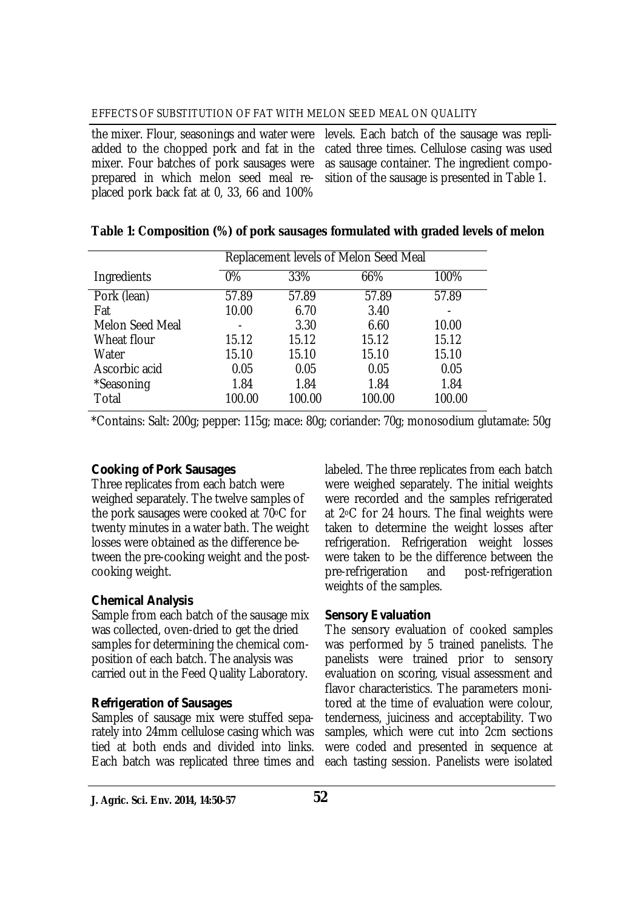#### EFFECTS OF SUBSTITUTION OF FAT WITH MELON SEED MEAL ON QUALITY

the mixer. Flour, seasonings and water were added to the chopped pork and fat in the mixer. Four batches of pork sausages were prepared in which melon seed meal replaced pork back fat at 0, 33, 66 and 100%

levels. Each batch of the sausage was replicated three times. Cellulose casing was used as sausage container. The ingredient composition of the sausage is presented in Table 1.

|                        | Replacement levels of Melon Seed Meal |        |        |        |  |
|------------------------|---------------------------------------|--------|--------|--------|--|
| Ingredients            | $0\%$                                 | 33%    | 66%    | 100%   |  |
| Pork (lean)            | 57.89                                 | 57.89  | 57.89  | 57.89  |  |
| Fat                    | 10.00                                 | 6.70   | 3.40   |        |  |
| <b>Melon Seed Meal</b> |                                       | 3.30   | 6.60   | 10.00  |  |
| Wheat flour            | 15.12                                 | 15.12  | 15.12  | 15.12  |  |
| Water                  | 15.10                                 | 15.10  | 15.10  | 15.10  |  |
| Ascorbic acid          | 0.05                                  | 0.05   | 0.05   | 0.05   |  |
| *Seasoning             | 1.84                                  | 1.84   | 1.84   | 1.84   |  |
| Total                  | 100.00                                | 100.00 | 100.00 | 100.00 |  |

#### **Table 1: Composition (%) of pork sausages formulated with graded levels of melon**

\*Contains: Salt: 200g; pepper: 115g; mace: 80g; coriander: 70g; monosodium glutamate: 50g

## *Cooking of Pork Sausages*

Three replicates from each batch were weighed separately. The twelve samples of the pork sausages were cooked at 70oC for twenty minutes in a water bath. The weight losses were obtained as the difference between the pre-cooking weight and the postcooking weight.

## *Chemical Analysis*

Sample from each batch of the sausage mix was collected, oven-dried to get the dried samples for determining the chemical composition of each batch. The analysis was carried out in the Feed Quality Laboratory.

## *Refrigeration of Sausages*

Samples of sausage mix were stuffed separately into 24mm cellulose casing which was tied at both ends and divided into links. Each batch was replicated three times and

labeled. The three replicates from each batch were weighed separately. The initial weights were recorded and the samples refrigerated at 2oC for 24 hours. The final weights were taken to determine the weight losses after refrigeration. Refrigeration weight losses were taken to be the difference between the pre-refrigeration and post-refrigeration weights of the samples.

## *Sensory Evaluation*

The sensory evaluation of cooked samples was performed by 5 trained panelists. The panelists were trained prior to sensory evaluation on scoring, visual assessment and flavor characteristics. The parameters monitored at the time of evaluation were colour, tenderness, juiciness and acceptability. Two samples, which were cut into 2cm sections were coded and presented in sequence at each tasting session. Panelists were isolated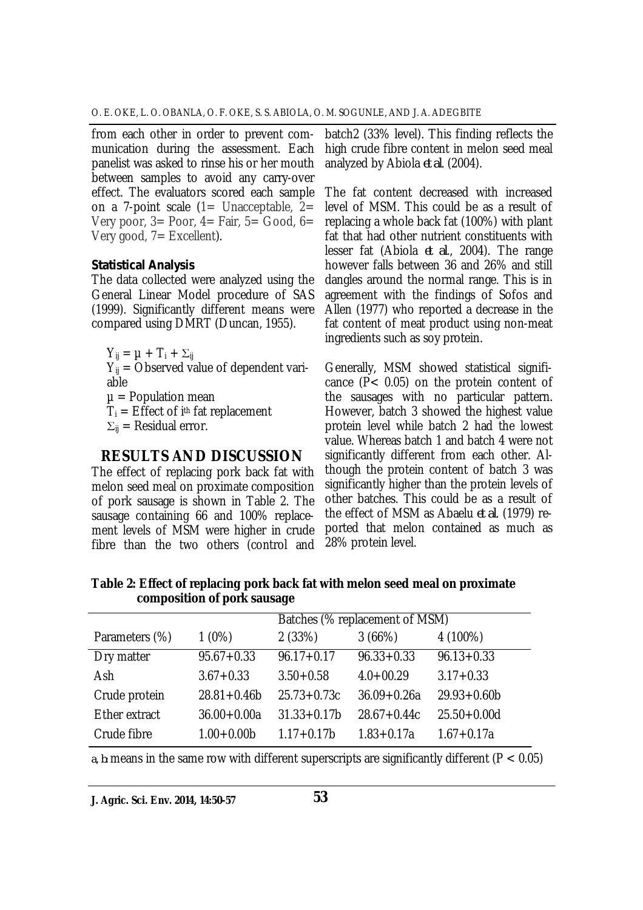from each other in order to prevent communication during the assessment. Each panelist was asked to rinse his or her mouth between samples to avoid any carry-over effect. The evaluators scored each sample on a 7-point scale  $(1=$  Unacceptable,  $2=$ Very poor,  $3=$  Poor,  $4=$  Fair,  $5=$  Good,  $6=$ Very good,  $7=$  Excellent).

#### *Statistical Analysis*

The data collected were analyzed using the General Linear Model procedure of SAS (1999). Significantly different means were compared using DMRT (Duncan, 1955).

 $Y_{ii} = \mu + T_i + \Sigma_{ii}$ 

 $Y_{ij}$  = Observed value of dependent variable

 $u =$  Population mean

 $T_i$  = Effect of i<sup>th</sup> fat replacement

 $\Sigma_{ii}$  = Residual error.

## **RESULTS AND DISCUSSION**

The effect of replacing pork back fat with melon seed meal on proximate composition of pork sausage is shown in Table 2. The sausage containing 66 and 100% replacement levels of MSM were higher in crude fibre than the two others (control and

batch2 (33% level). This finding reflects the high crude fibre content in melon seed meal analyzed by Abiola *et al*. (2004).

The fat content decreased with increased level of MSM. This could be as a result of replacing a whole back fat (100%) with plant fat that had other nutrient constituents with lesser fat (Abiola *et al*., 2004). The range however falls between 36 and 26% and still dangles around the normal range. This is in agreement with the findings of Sofos and Allen (1977) who reported a decrease in the fat content of meat product using non-meat ingredients such as soy protein.

Generally, MSM showed statistical significance (P< 0.05) on the protein content of the sausages with no particular pattern. However, batch 3 showed the highest value protein level while batch 2 had the lowest value. Whereas batch 1 and batch 4 were not significantly different from each other. Although the protein content of batch 3 was significantly higher than the protein levels of other batches. This could be as a result of the effect of MSM as Abaelu *et al*. (1979) reported that melon contained as much as 28% protein level.

**Table 2: Effect of replacing pork back fat with melon seed meal on proximate composition of pork sausage**

|                |                 | Batches (% replacement of MSM) |                 |                 |
|----------------|-----------------|--------------------------------|-----------------|-----------------|
| Parameters (%) | $1(0\%)$        | 2(33%)                         | 3(66%)          | 4 (100%)        |
| Dry matter     | $95.67 + 0.33$  | $96.17 + 0.17$                 | $96.33 + 0.33$  | $96.13 + 0.33$  |
| Ash            | $3.67 + 0.33$   | $3.50 + 0.58$                  | $4.0 + 00.29$   | $3.17 + 0.33$   |
| Crude protein  | $28.81 + 0.46b$ | $25.73 + 0.73c$                | $36.09 + 0.26a$ | $29.93 + 0.60$  |
| Ether extract  | $36.00 + 0.00a$ | $31.33 + 0.17b$                | $28.67 + 0.44c$ | $25.50 + 0.00d$ |
| Crude fibre    | $1.00 + 0.00$   | $1.17 + 0.17b$                 | $1.83 + 0.17a$  | $1.67 + 0.17a$  |

*a, b:* means in the same row with different superscripts are significantly different (P < 0.05)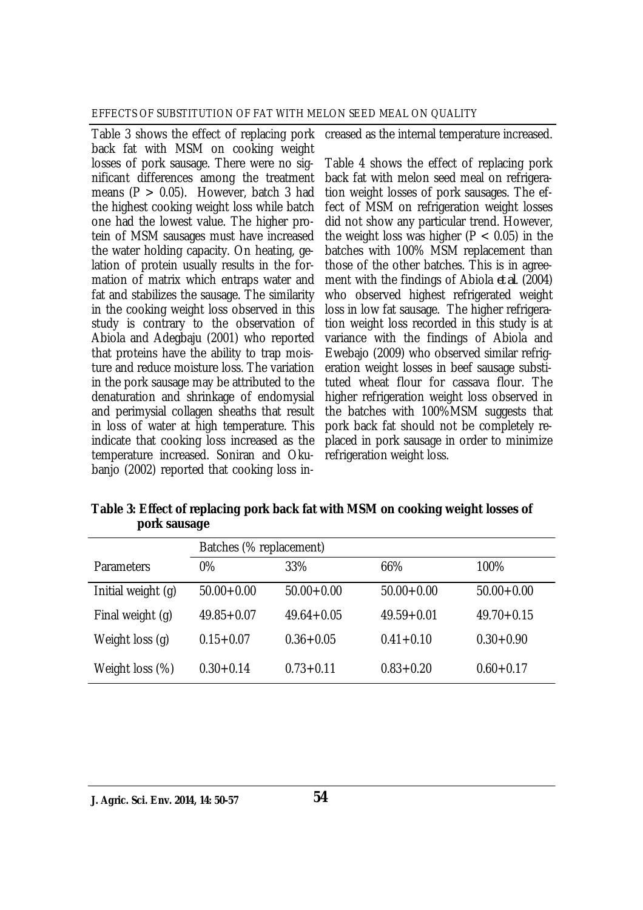Table 3 shows the effect of replacing pork back fat with MSM on cooking weight losses of pork sausage. There were no significant differences among the treatment means  $(P > 0.05)$ . However, batch 3 had the highest cooking weight loss while batch one had the lowest value. The higher protein of MSM sausages must have increased the water holding capacity. On heating, gelation of protein usually results in the formation of matrix which entraps water and fat and stabilizes the sausage. The similarity in the cooking weight loss observed in this study is contrary to the observation of Abiola and Adegbaju (2001) who reported that proteins have the ability to trap moisture and reduce moisture loss. The variation in the pork sausage may be attributed to the denaturation and shrinkage of endomysial and perimysial collagen sheaths that result in loss of water at high temperature. This indicate that cooking loss increased as the temperature increased. Soniran and Okubanjo (2002) reported that cooking loss in-

creased as the internal temperature increased.

Table 4 shows the effect of replacing pork back fat with melon seed meal on refrigeration weight losses of pork sausages. The effect of MSM on refrigeration weight losses did not show any particular trend. However, the weight loss was higher ( $P < 0.05$ ) in the batches with 100% MSM replacement than those of the other batches. This is in agreement with the findings of Abiola *et al*. (2004) who observed highest refrigerated weight loss in low fat sausage. The higher refrigeration weight loss recorded in this study is at variance with the findings of Abiola and Ewebajo (2009) who observed similar refrigeration weight losses in beef sausage substituted wheat flour for cassava flour. The higher refrigeration weight loss observed in the batches with 100%MSM suggests that pork back fat should not be completely replaced in pork sausage in order to minimize refrigeration weight loss.

|              | Table 3: Effect of replacing pork back fat with MSM on cooking weight losses of |
|--------------|---------------------------------------------------------------------------------|
| pork sausage |                                                                                 |
|              |                                                                                 |

|                    | Batches (% replacement) |                |                |                |
|--------------------|-------------------------|----------------|----------------|----------------|
| <b>Parameters</b>  | $0\%$                   | 33%            | 66%            | 100%           |
| Initial weight (g) | $50.00 + 0.00$          | $50.00 + 0.00$ | $50.00 + 0.00$ | $50.00 + 0.00$ |
| Final weight (g)   | $49.85 + 0.07$          | $49.64 + 0.05$ | $49.59 + 0.01$ | $49.70 + 0.15$ |
| Weight loss (q)    | $0.15 + 0.07$           | $0.36 + 0.05$  | $0.41 + 0.10$  | $0.30 + 0.90$  |
| Weight loss (%)    | $0.30 + 0.14$           | $0.73 + 0.11$  | $0.83 + 0.20$  | $0.60 + 0.17$  |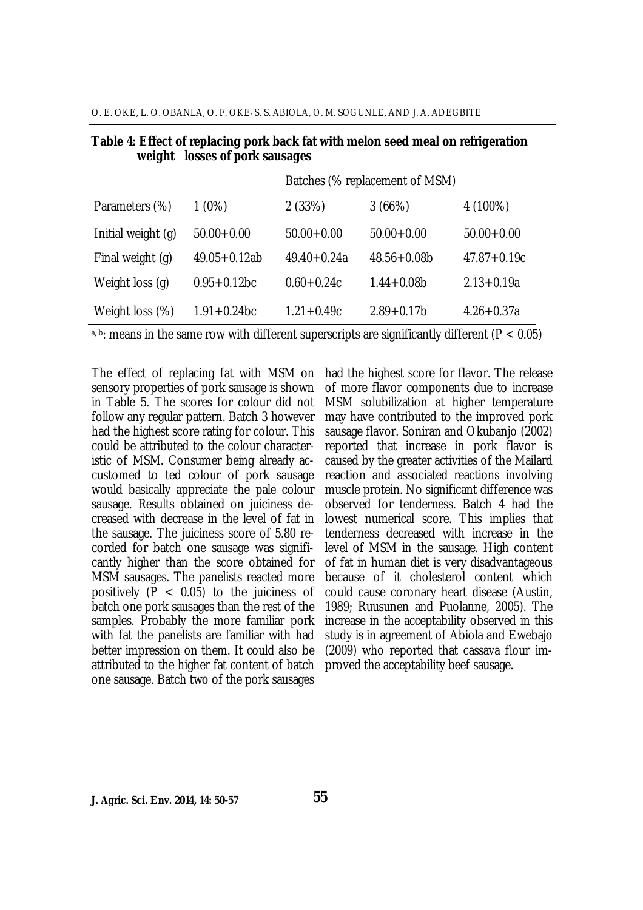| O. E. OKE, L. O. OBANLA, O. F. OKE S. S. ABIOLA, O. M. SOGUNLE, AND J. A. ADEGBITE |  |
|------------------------------------------------------------------------------------|--|
|------------------------------------------------------------------------------------|--|

|                    |                  | Batches (% replacement of MSM) |                 |                 |
|--------------------|------------------|--------------------------------|-----------------|-----------------|
| Parameters (%)     | $1(0\%)$         | 2(33%)                         | 3(66%)          | 4 (100%)        |
| Initial weight (g) | $50.00 + 0.00$   | $50.00 + 0.00$                 | $50.00 + 0.00$  | $50.00 + 0.00$  |
| Final weight (q)   | $49.05 + 0.12ab$ | $49.40 + 0.24a$                | $48.56 + 0.08b$ | $47.87 + 0.19c$ |
| Weight loss (q)    | $0.95 + 0.12$ bc | $0.60 + 0.24c$                 | $1.44 + 0.08b$  | $2.13 + 0.19a$  |
| Weight loss (%)    | $1.91 + 0.24$ bc | $1.21 + 0.49c$                 | $2.89 + 0.17$ b | $4.26 + 0.37a$  |

**Table 4: Effect of replacing pork back fat with melon seed meal on refrigeration weight losses of pork sausages**

a, b: means in the same row with different superscripts are significantly different ( $P < 0.05$ )

The effect of replacing fat with MSM on sensory properties of pork sausage is shown in Table 5. The scores for colour did not follow any regular pattern. Batch 3 however had the highest score rating for colour. This could be attributed to the colour characteristic of MSM. Consumer being already accustomed to ted colour of pork sausage would basically appreciate the pale colour sausage. Results obtained on juiciness decreased with decrease in the level of fat in the sausage. The juiciness score of 5.80 recorded for batch one sausage was significantly higher than the score obtained for MSM sausages. The panelists reacted more positively ( $P < 0.05$ ) to the juiciness of batch one pork sausages than the rest of the samples. Probably the more familiar pork with fat the panelists are familiar with had better impression on them. It could also be attributed to the higher fat content of batch one sausage. Batch two of the pork sausages

had the highest score for flavor. The release of more flavor components due to increase MSM solubilization at higher temperature may have contributed to the improved pork sausage flavor. Soniran and Okubanjo (2002) reported that increase in pork flavor is caused by the greater activities of the Mailard reaction and associated reactions involving muscle protein. No significant difference was observed for tenderness. Batch 4 had the lowest numerical score. This implies that tenderness decreased with increase in the level of MSM in the sausage. High content of fat in human diet is very disadvantageous because of it cholesterol content which could cause coronary heart disease (Austin, 1989; Ruusunen and Puolanne, 2005). The increase in the acceptability observed in this study is in agreement of Abiola and Ewebajo (2009) who reported that cassava flour improved the acceptability beef sausage.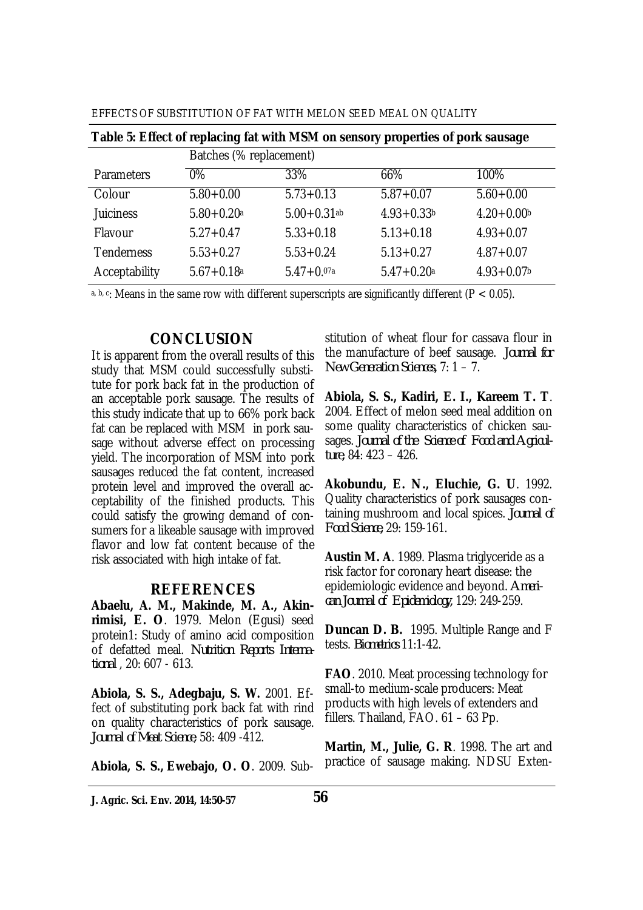| EFFECTS OF SUBSTITUTION OF FAT WITH MELON SEED MEAL ON QUALITY |  |  |  |  |  |
|----------------------------------------------------------------|--|--|--|--|--|
|----------------------------------------------------------------|--|--|--|--|--|

|                   | Batches (% replacement)    |                  |                |               |  |
|-------------------|----------------------------|------------------|----------------|---------------|--|
| Parameters        | $0\%$                      | 33%              | 66%            | 100%          |  |
| Colour            | $5.80 + 0.00$              | $5.73 + 0.13$    | $5.87 + 0.07$  | $5.60 + 0.00$ |  |
| <b>Juiciness</b>  | $5.80 + 0.20a$             | $5.00 + 0.31$ ab | $4.93 + 0.33$  | $4.20 + 0.00$ |  |
| Flavour           | $5.27 + 0.47$              | $5.33 + 0.18$    | $5.13 + 0.18$  | $4.93 + 0.07$ |  |
| <b>Tenderness</b> | $5.53 + 0.27$              | $5.53 + 0.24$    | $5.13 + 0.27$  | $4.87 + 0.07$ |  |
| Acceptability     | $5.67 + 0.18$ <sup>a</sup> | $5.47 + 0.07a$   | $5.47 + 0.20a$ | $4.93 + 0.07$ |  |
|                   |                            |                  |                |               |  |

a, b, c: Means in the same row with different superscripts are significantly different ( $P < 0.05$ ).

#### **CONCLUSION**

It is apparent from the overall results of this study that MSM could successfully substitute for pork back fat in the production of an acceptable pork sausage. The results of this study indicate that up to 66% pork back fat can be replaced with MSM in pork sausage without adverse effect on processing yield. The incorporation of MSM into pork sausages reduced the fat content, increased protein level and improved the overall acceptability of the finished products. This could satisfy the growing demand of consumers for a likeable sausage with improved flavor and low fat content because of the risk associated with high intake of fat.

#### **REFERENCES**

**Abaelu, A. M., Makinde, M. A., Akinrimisi, E. O**. 1979. Melon (Egusi) seed protein1: Study of amino acid composition of defatted meal. *Nutrition Reports International* , 20: 607 - 613.

**Abiola, S. S., Adegbaju, S. W.** 2001. Effect of substituting pork back fat with rind on quality characteristics of pork sausage. *Journal of Meat Science*, 58: 409 -412.

**Abiola, S. S., Ewebajo, O. O**. 2009. Sub-

stitution of wheat flour for cassava flour in the manufacture of beef sausage. *Journal for New Generation Sciences,* 7: 1 – 7.

**Abiola, S. S., Kadiri, E. I., Kareem T. T**. 2004. Effect of melon seed meal addition on some quality characteristics of chicken sausages. *Journal of the Science of Food and Agriculture,* 84: 423 – 426.

**Akobundu, E. N., Eluchie, G. U**. 1992. Quality characteristics of pork sausages containing mushroom and local spices. *Journal of Food Science,* 29: 159-161.

**Austin M. A**. 1989. Plasma triglyceride as a risk factor for coronary heart disease: the epidemiologic evidence and beyond. *American Journal of Epidemiology,* 129: 249-259.

**Duncan D. B.** 1995. Multiple Range and F tests. *Biometrics* 11:1-42.

**FAO**. 2010. Meat processing technology for small-to medium-scale producers: Meat products with high levels of extenders and fillers. Thailand, FAO. 61 – 63 Pp.

**Martin, M., Julie, G. R**. 1998. The art and practice of sausage making. NDSU Exten-

**J. Agric. Sci. Env. 2014, 14:50-57**